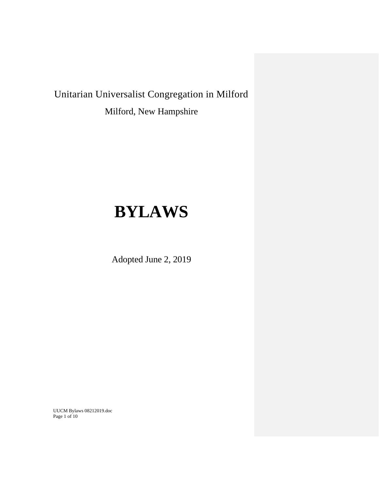### Unitarian Universalist Congregation in Milford Milford, New Hampshire

# **BYLAWS**

Adopted June 2, 2019

UUCM Bylaws 08212019.doc Page 1 of 10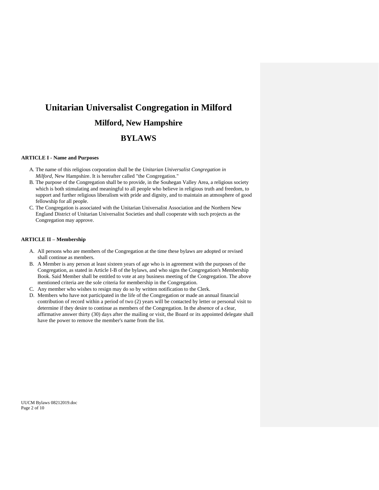## **Unitarian Universalist Congregation in Milford Milford, New Hampshire**

### **BYLAWS**

#### **ARTICLE I - Name and Purposes**

- A. The name of this religious corporation shall be the *Unitarian Universalist Congregation in Milford,* New Hampshire. It is hereafter called "the Congregation."
- B. The purpose of the Congregation shall be to provide, in the Souhegan Valley Area, a religious society which is both stimulating and meaningful to all people who believe in religious truth and freedom, to support and further religious liberalism with pride and dignity, and to maintain an atmosphere of good fellowship for all people.
- C. The Congregation is associated with the Unitarian Universalist Association and the Northern New England District of Unitarian Universalist Societies and shall cooperate with such projects as the Congregation may approve.

#### **ARTICLE II – Membership**

- A. All persons who are members of the Congregation at the time these bylaws are adopted or revised shall continue as members.
- B. A Member is any person at least sixteen years of age who is in agreement with the purposes of the Congregation, as stated in Article I-B of the bylaws, and who signs the Congregation's Membership Book. Said Member shall be entitled to vote at any business meeting of the Congregation. The above mentioned criteria are the sole criteria for membership in the Congregation.
- C. Any member who wishes to resign may do so by written notification to the Clerk.
- D. Members who have not participated in the life of the Congregation or made an annual financial contribution of record within a period of two (2) years will be contacted by letter or personal visit to determine if they desire to continue as members of the Congregation. In the absence of a clear, affirmative answer thirty (30) days after the mailing or visit, the Board or its appointed delegate shall have the power to remove the member's name from the list.

UUCM Bylaws 08212019.doc Page 2 of 10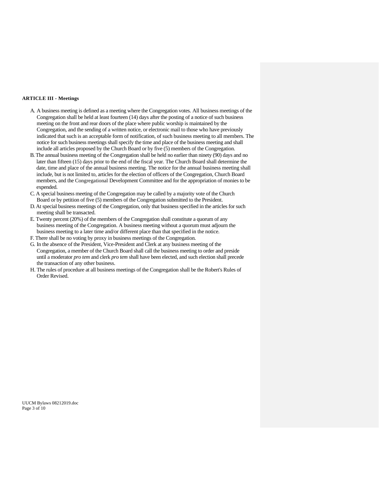#### **ARTICLE III - Meetings**

- A. A business meeting is defined as a meeting where the Congregation votes. All business meetings of the Congregation shall be held at least fourteen (14) days after the posting of a notice of such business meeting on the front and rear doors of the place where public worship is maintained by the Congregation, and the sending of a written notice, or electronic mail to those who have previously indicated that such is an acceptable form of notification, of such business meeting to all members. The notice for such business meetings shall specify the time and place of the business meeting and shall include all articles proposed by the Church Board or by five (5) members of the Congregation.
- B. The annual business meeting of the Congregation shall be held no earlier than ninety (90) days and no later than fifteen (15) days prior to the end of the fiscal year. The Church Board shall determine the date, time and place of the annual business meeting. The notice for the annual business meeting shall include, but is not limited to, articles for the election of officers of the Congregation, Church Board members, and the Congregational Development Committee and for the appropriation of monies to be expended.
- C. A special business meeting of the Congregation may be called by a majority vote of the Church Board or by petition of five (5) members of the Congregation submitted to the President.
- D.At special business meetings of the Congregation, only that business specified in the articles for such meeting shall be transacted.
- E. Twenty percent (20%) of the members of the Congregation shall constitute a quorum of any business meeting of the Congregation. A business meeting without a quorum must adjourn the business meeting to a later time and/or different place than that specified in the notice.
- F. There shall be no voting by proxy in business meetings of the Congregation.
- G. In the absence of the President, Vice-President and Clerk at any business meeting of the Congregation, a member of the Church Board shall call the business meeting to order and preside until a moderator *pro tem* and clerk *pro tem* shall have been elected, and such election shall precede the transaction of any other business.
- H. The rules of procedure at all business meetings of the Congregation shall be the Robert's Rules of Order Revised.

UUCM Bylaws 08212019.doc Page 3 of 10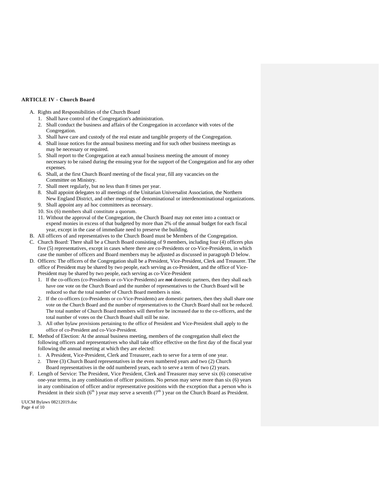#### **ARTICLE IV - Church Board**

A. Rights and Responsibilities of the Church Board

- 1. Shall have control of the Congregation's administration.
- 2. Shall conduct the business and affairs of the Congregation in accordance with votes of the Congregation.
- 3. Shall have care and custody of the real estate and tangible property of the Congregation.
- 4. Shall issue notices for the annual business meeting and for such other business meetings as may be necessary or required.
- 5. Shall report to the Congregation at each annual business meeting the amount of money necessary to be raised during the ensuing year for the support of the Congregation and for any other expenses.
- 6. Shall, at the first Church Board meeting of the fiscal year, fill any vacancies on the Committee on Ministry.
- 7. Shall meet regularly, but no less than 8 times per year.
- 8. Shall appoint delegates to all meetings of the Unitarian Universalist Association, the Northern New England District, and other meetings of denominational or interdenominational organizations.
- 9. Shall appoint any ad hoc committees as necessary.
- 10. Six (6) members shall constitute a quorum.
- 11. Without the approval of the Congregation, the Church Board may not enter into a contract or expend monies in excess of that budgeted by more than 2% of the annual budget for each fiscal year, except in the case of immediate need to preserve the building.
- B. All officers of and representatives to the Church Board must be Members of the Congregation.
- C. Church Board: There shall be a Church Board consisting of 9 members, including four (4) officers plus five (5) representatives, except in cases where there are co-Presidents or co-Vice-Presidents, in which case the number of officers and Board members may be adjusted as discussed in paragraph D below.
- D. Officers: The officers of the Congregation shall be a President, Vice-President, Clerk and Treasurer. The office of President may be shared by two people, each serving as co-President, and the office of Vice-President may be shared by two people, each serving as co-Vice-President
	- 1. If the co-officers (co-Presidents or co-Vice-Presidents) are *not* domestic partners, then they shall each have one vote on the Church Board and the number of representatives to the Church Board will be reduced so that the total number of Church Board members is nine.
	- 2. If the co-officers (co-Presidents or co-Vice-Presidents) are domestic partners, then they shall share one vote on the Church Board and the number of representatives to the Church Board shall not be reduced. The total number of Church Board members will therefore be increased due to the co-officers, and the total number of votes on the Church Board shall still be nine.
	- 3. All other bylaw provisions pertaining to the office of President and Vice-President shall apply to the office of co-President and co-Vice-President.
- E. Method of Election: At the annual business meeting, members of the congregation shall elect the following officers and representatives who shall take office effective on the first day of the fiscal year following the annual meeting at which they are elected:
	- 1. A President, Vice-President, Clerk and Treasurer, each to serve for a term of one year.
	- 2. Three (3) Church Board representatives in the even numbered years and two (2) Church
	- Board representatives in the odd numbered years, each to serve a term of two (2) years.
- F. Length of Service: The President, Vice President, Clerk and Treasurer may serve six (6) consecutive one-year terms, in any combination of officer positions. No person may serve more than six (6) years in any combination of officer and/or representative positions with the exception that a person who is President in their sixth  $(6<sup>th</sup>)$  year may serve a seventh  $(7<sup>th</sup>)$  year on the Church Board as President.

UUCM Bylaws 08212019.doc Page 4 of 10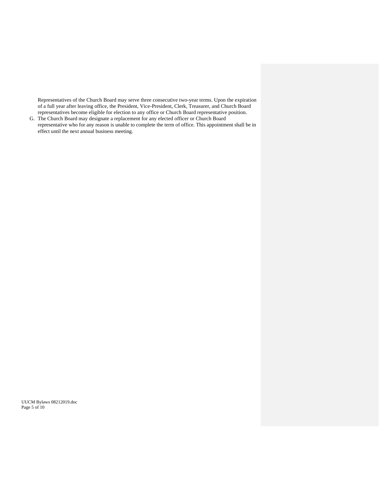Representatives of the Church Board may serve three consecutive two-year terms. Upon the expiration of a full year after leaving office, the President, Vice-President, Clerk, Treasurer, and Church Board representatives become eligible for election to any office or Church Board representative position.

G. The Church Board may designate a replacement for any elected officer or Church Board representative who for any reason is unable to complete the term of office. This appointment shall be in effect until the next annual business meeting.

UUCM Bylaws 08212019.doc Page 5 of 10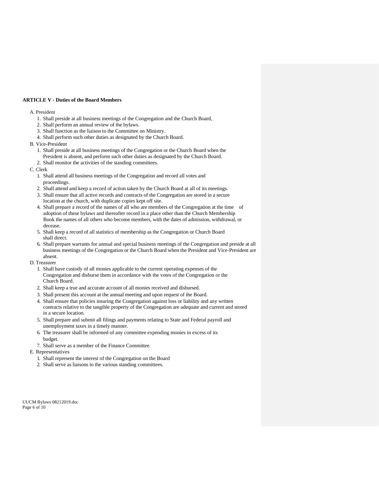#### **ARTICLE V - Duties of the Board Members**

#### A. President

- 1. Shall preside at all business meetings of the Congregation and the Church Board,
- 2. Shall perform an annual review of the bylaws.
- 3. Shall function as the liaison to the Committee on Ministry.
- 4. Shall perform such other duties as designated by the Church Board.

#### B. Vice-President

- 1. Shall preside at all business meetings of the Congregation or the Church Board when the President is absent, and perform such other duties as designated by the Church Board.
- 2. Shall monitor the activities of the standing committees.

#### C. Clerk

- 1. Shall attend all business meetings of the Congregation and record all votes and proceedings.
- 2. Shall attend and keep a record of action taken by the Church Board at all of its meetings.
- 3. Shall ensure that all active records and contracts of the Congregation are stored in a secure location at the church, with duplicate copies kept off site.
- 4. Shall prepare a record of the names of all who are members of the Congregation at the time of adoption of these bylaws and thereafter record in a place other than the Church Membership Book the names of all others who become members, with the dates of admission, withdrawal, or decease.
- 5. Shall keep a record of all statistics of membership as the Congregation or Church Board shall direct.
- 6. Shall prepare warrants for annual and special business meetings of the Congregation and preside at all business meetings of the Congregation or the Church Board when the President and Vice-President are absent.

#### D. Treasurer

- 1. Shall have custody of all monies applicable to the current operating expenses of the Congregation and disburse them in accordance with the votes of the Congregation or the Church Board.
- 2. Shall keep a true and accurate account of all monies received and disbursed.
- 3. Shall present this account at the annual meeting and upon request of the Board.
- 4. Shall ensure that policies insuring the Congregation against loss or liability and any written contracts relative to the tangible property of the Congregation are adequate and current and stored in a secure location.
- 5. Shall prepare and submit all filings and payments relating to State and Federal payroll and unemployment taxes in a timely manner.
- 6. The treasurer shall be informed of any committee expending monies in excess of its budget.
- 7. Shall serve as a member of the Finance Committee.
- E. Representatives
	- 1. Shall represent the interest of the Congregation on the Board
	- 2. Shall serve as liaisons to the various standing committees.

UUCM Bylaws 08212019.doc Page 6 of 10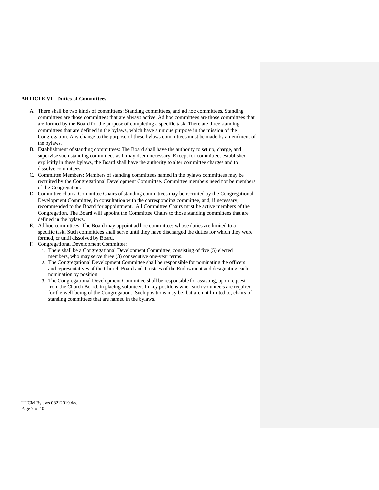#### **ARTICLE VI - Duties of Committees**

- A. There shall be two kinds of committees: Standing committees, and ad hoc committees. Standing committees are those committees that are always active. Ad hoc committees are those committees that are formed by the Board for the purpose of completing a specific task. There are three standing committees that are defined in the bylaws, which have a unique purpose in the mission of the Congregation. Any change to the purpose of these bylaws committees must be made by amendment of the bylaws.
- B. Establishment of standing committees: The Board shall have the authority to set up, charge, and supervise such standing committees as it may deem necessary. Except for committees established explicitly in these bylaws, the Board shall have the authority to alter committee charges and to dissolve committees.
- C. Committee Members: Members of standing committees named in the bylaws committees may be recruited by the Congregational Development Committee. Committee members need not be members of the Congregation.
- D. Committee chairs: Committee Chairs of standing committees may be recruited by the Congregational Development Committee, in consultation with the corresponding committee, and, if necessary, recommended to the Board for appointment. All Committee Chairs must be active members of the Congregation. The Board will appoint the Committee Chairs to those standing committees that are defined in the bylaws.
- E. Ad hoc committees: The Board may appoint ad hoc committees whose duties are limited to a specific task. Such committees shall serve until they have discharged the duties for which they were formed, or until dissolved by Board.
- F. Congregational Development Committee:
	- 1. There shall be a Congregational Development Committee, consisting of five (5) elected members, who may serve three (3) consecutive one-year terms.
	- 2. The Congregational Development Committee shall be responsible for nominating the officers and representatives of the Church Board and Trustees of the Endowment and designating each nomination by position.
	- 3. The Congregational Development Committee shall be responsible for assisting, upon request from the Church Board, in placing volunteers in key positions when such volunteers are required for the well-being of the Congregation. Such positions may be, but are not limited to, chairs of standing committees that are named in the bylaws.

UUCM Bylaws 08212019.doc Page 7 of 10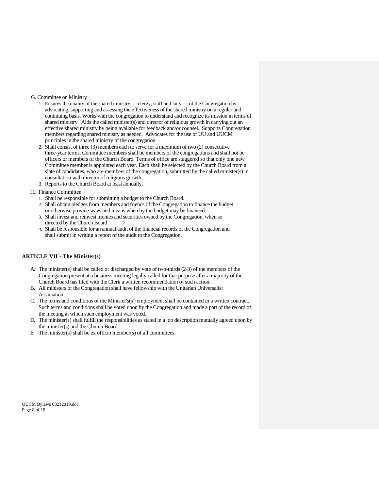#### G. Committee on Ministry

- 1. Ensures the quality of the shared ministry clergy, staff and laity of the Congregation by advocating, supporting and assessing the effectiveness of the shared ministry on a regular and continuing basis. Works with the congregation to understand and recognize its mission in terms of shared ministry. Aids the called minister(s) and director of religious growth in carrying out an effective shared ministry by being available for feedback and/or counsel. Supports Congregation members regarding shared ministry as needed. Advocates for the use of UU and UUCM principles in the shared ministry of the congregation.
- 2. Shall consist of three (3) members each to serve for a maximum of two (2) consecutive three-year terms. Committee members shall be members of the congregations and shall not be officers or members of the Church Board. Terms of office are staggered so that only one new Committee member is appointed each year. Each shall be selected by the Church Board from a slate of candidates, who are members of the congregation, submitted by the called minister(s) in consultation with director of religious growth.
- 3. Reports to the Church Board at least annually.

#### H. Finance Committee

- 1. Shall be responsible for submitting a budget to the Church Board.
- 2. Shall obtain pledges from members and friends of the Congregation to finance the budget or otherwise provide ways and means whereby the budget may be financed.
- 3. Shall invest and reinvest monies and securities owned by the Congregation, when so directed by the Church Board. >
- 4. Shall be responsible for an annual audit of the financial records of the Congregation and shall submit in writing a report of the audit to the Congregation.

#### **ARTICLE VII - The Minister(s)**

- A. The minister(s) shall be called or discharged by vote of two-thirds (2/3) of the members of the Congregation present at a business meeting legally called for that purpose after a majority of the Church Board has filed with the Clerk a written recommendation of such action.
- B. All ministers of the Congregation shall have fellowship with the Unitarian Universalist Association.
- C. The terms and conditions of the Minister's(s') employment shall be contained in a written contract. Such terms and conditions shall be voted upon by the Congregation and made a part of the record of the meeting at which such employment was voted.
- D. The minister(s) shall fulfill the responsibilities as stated in a job description mutually agreed upon by the minister(s) and the Church Board.
- E. The minister(s) shall be ex officio member(s) of all committees.

UUCM Bylaws 08212019.doc Page 8 of 10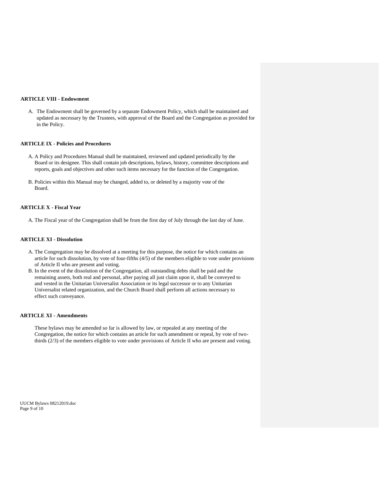#### **ARTICLE VIII - Endowment**

A. The Endowment shall be governed by a separate Endowment Policy, which shall be maintained and updated as necessary by the Trustees, with approval of the Board and the Congregation as provided for in the Policy.

#### **ARTICLE IX - Policies and Procedures**

- A. A Policy and Procedures Manual shall be maintained, reviewed and updated periodically by the Board or its designee. This shall contain job descriptions, bylaws, history, committee descriptions and reports, goals and objectives and other such items necessary for the function of the Congregation.
- B. Policies within this Manual may be changed, added to, or deleted by a majority vote of the Board.

#### **ARTICLE X - Fiscal Year**

A. The Fiscal year of the Congregation shall be from the first day of July through the last day of June.

#### **ARTICLE XI - Dissolution**

- A. The Congregation may be dissolved at a meeting for this purpose, the notice for which contains an article for such dissolution, by vote of four-fifths (4/5) of the members eligible to vote under provisions of Article II who are present and voting.
- B. In the event of the dissolution of the Congregation, all outstanding debts shall be paid and the remaining assets, both real and personal, after paying all just claim upon it, shall be conveyed to and vested in the Unitarian Universalist Association or its legal successor or to any Unitarian Universalist related organization, and the Church Board shall perform all actions necessary to effect such conveyance.

#### **ARTICLE XI - Amendments**

These bylaws may be amended so far is allowed by law, or repealed at any meeting of the Congregation, the notice for which contains an article for such amendment or repeal, by vote of twothirds (2/3) of the members eligible to vote under provisions of Article II who are present and voting.

UUCM Bylaws 08212019.doc Page 9 of 10